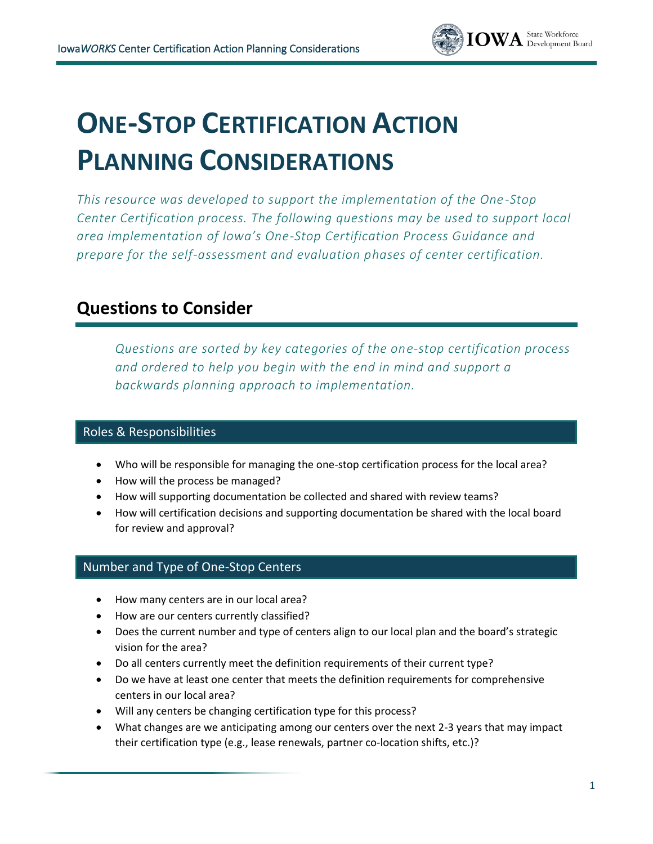

# **ONE-STOP CERTIFICATION ACTION PLANNING CONSIDERATIONS**

*This resource was developed to support the implementation of the One -Stop Center Certification process. The following questions may be used to support local area implementation of Iowa's One-Stop Certification Process Guidance and prepare for the self-assessment and evaluation phases of center certification.* 

# **Questions to Consider**

*Questions are sorted by key categories of the one-stop certification process and ordered to help you begin with the end in mind and support a backwards planning approach to implementation.*

## Roles & Responsibilities

- Who will be responsible for managing the one-stop certification process for the local area?
- How will the process be managed?
- How will supporting documentation be collected and shared with review teams?
- How will certification decisions and supporting documentation be shared with the local board for review and approval?

### Number and Type of One-Stop Centers

- How many centers are in our local area?
- How are our centers currently classified?
- Does the current number and type of centers align to our local plan and the board's strategic vision for the area?
- Do all centers currently meet the definition requirements of their current type?
- Do we have at least one center that meets the definition requirements for comprehensive centers in our local area?
- Will any centers be changing certification type for this process?
- What changes are we anticipating among our centers over the next 2-3 years that may impact their certification type (e.g., lease renewals, partner co-location shifts, etc.)?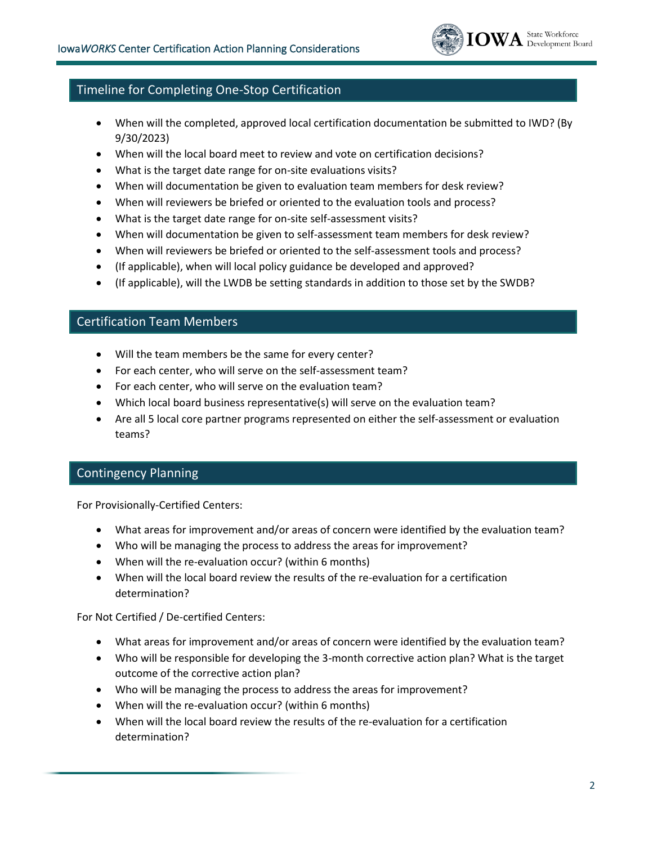

### Timeline for Completing One-Stop Certification

- When will the completed, approved local certification documentation be submitted to IWD? (By 9/30/2023)
- When will the local board meet to review and vote on certification decisions?
- What is the target date range for on-site evaluations visits?
- When will documentation be given to evaluation team members for desk review?
- When will reviewers be briefed or oriented to the evaluation tools and process?
- What is the target date range for on-site self-assessment visits?
- When will documentation be given to self-assessment team members for desk review?
- When will reviewers be briefed or oriented to the self-assessment tools and process?
- (If applicable), when will local policy guidance be developed and approved?
- (If applicable), will the LWDB be setting standards in addition to those set by the SWDB?

#### Certification Team Members

- Will the team members be the same for every center?
- For each center, who will serve on the self-assessment team?
- For each center, who will serve on the evaluation team?
- Which local board business representative(s) will serve on the evaluation team?
- Are all 5 local core partner programs represented on either the self-assessment or evaluation teams?

#### Contingency Planning

For Provisionally-Certified Centers:

- What areas for improvement and/or areas of concern were identified by the evaluation team?
- Who will be managing the process to address the areas for improvement?
- When will the re-evaluation occur? (within 6 months)
- When will the local board review the results of the re-evaluation for a certification determination?

For Not Certified / De-certified Centers:

- What areas for improvement and/or areas of concern were identified by the evaluation team?
- Who will be responsible for developing the 3-month corrective action plan? What is the target outcome of the corrective action plan?
- Who will be managing the process to address the areas for improvement?
- When will the re-evaluation occur? (within 6 months)
- When will the local board review the results of the re-evaluation for a certification determination?